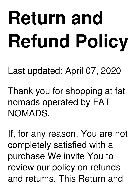# **Return and Refund Policy**

Last updated: April 07, 2020

Thank you for shopping at fat nomads operated by FAT NOMADS.

If, for any reason, You are not completely satisfied with a purchase We invite You to review our policy on refunds and returns. This Return and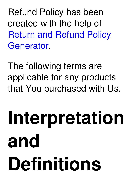Refund Policy has been created with the help of Return and Refund Policy [Generator.](https://www.termsfeed.com/return-refund-policy-generator/)

The following terms are applicable for any products that You purchased with Us.

### **Interpretation and Definitions**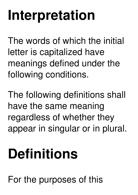#### **Interpretation**

The words of which the initial letter is capitalized have meanings defined under the following conditions.

The following definitions shall have the same meaning regardless of whether they appear in singular or in plural.

#### **Definitions**

For the purposes of this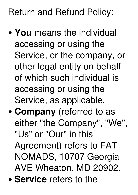#### Return and Refund Policy:

- **You** means the individual accessing or using the Service, or the company, or other legal entity on behalf of which such individual is accessing or using the Service, as applicable.
- **Company** (referred to as either "the Company" , "We" , "Us" or "Our" in this Agreement) refers to FAT NOMADS, 10707 Georgia AVE Wheaton, MD 20902. **Service** refers to the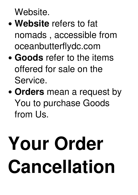Website.

- **Website** refers to fat nomads , accessible from oceanbutterflydc.com
- **Goods** refer to the items offered for sale on the Service.
- **Orders** mean a request by You to purchase Goods from Us.

## **Your Order Cancellation**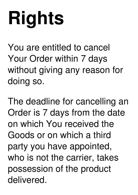# **Rights**

You are entitled to cancel Your Order within 7 days without giving any reason for doing so.

The deadline for cancelling an Order is 7 days from the date on which You received the Goods or on which a third party you have appointed, who is not the carrier, takes possession of the product delivered.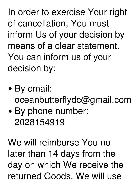In order to exercise Your right of cancellation, You must inform Us of your decision by means of a clear statement. You can inform us of your decision by:

- By email: oceanbutterflydc@gmail.com
- By phone number: 2028154919

We will reimburse You no later than 14 days from the day on which We receive the returned Goods. We will use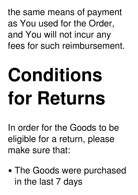the same means of payment as You used for the Order, and You will not incur any fees for such reimbursement.

## **Conditions for Returns**

In order for the Goods to be eligible for a return, please make sure that:

The Goods were purchased in the last 7 days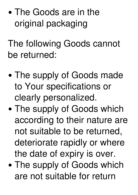• The Goods are in the original packaging

The following Goods cannot be returned:

- The supply of Goods made to Your specifications or clearly personalized.
- The supply of Goods which according to their nature are not suitable to be returned, deteriorate rapidly or where the date of expiry is over.
- The supply of Goods which are not suitable for return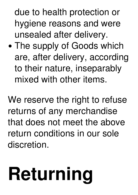due to health protection or hygiene reasons and were unsealed after delivery.

The supply of Goods which are, after delivery, according to their nature, inseparably mixed with other items.

We reserve the right to refuse returns of any merchandise that does not meet the above return conditions in our sole discretion.

## **Returning**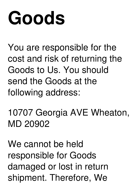#### **Goods**

You are responsible for the cost and risk of returning the Goods to Us. You should send the Goods at the following address:

10707 Georgia AVE Wheaton, MD 20902

We cannot be held responsible for Goods damaged or lost in return shipment. Therefore, We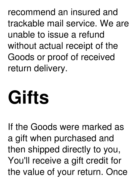recommend an insured and trackable mail service. We are unable to issue a refund without actual receipt of the Goods or proof of received return delivery.

### **Gifts**

If the Goods were marked as a gift when purchased and then shipped directly to you, You'll receive a gift credit for the value of your return. Once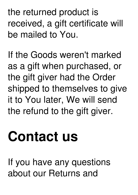the returned product is received, a gift certificate will be mailed to You.

If the Goods weren't marked as a gift when purchased, or the gift giver had the Order shipped to themselves to give it to You later, We will send the refund to the gift giver.

#### **Contact us**

If you have any questions about our Returns and